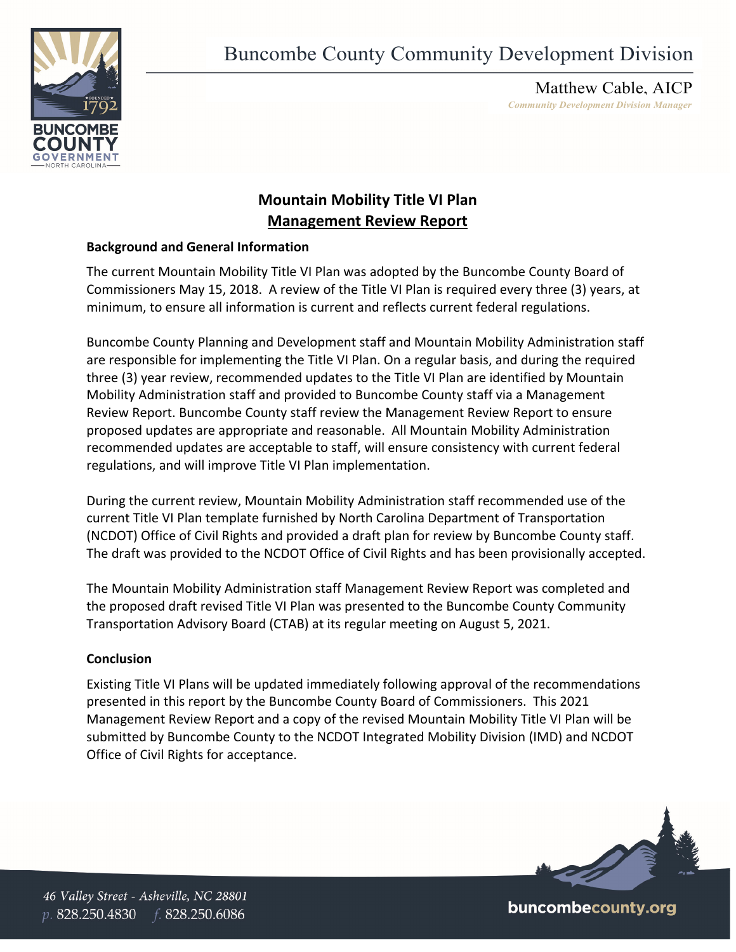



Matthew Cable, AICP *Community Development Division Manager* 

## **Mountain Mobility Title VI Plan Management Review Report**

## **Background and General Information**

The current Mountain Mobility Title VI Plan was adopted by the Buncombe County Board of Commissioners May 15, 2018. A review of the Title VI Plan is required every three (3) years, at minimum, to ensure all information is current and reflects current federal regulations.

Buncombe County Planning and Development staff and Mountain Mobility Administration staff are responsible for implementing the Title VI Plan. On a regular basis, and during the required three (3) year review, recommended updates to the Title VI Plan are identified by Mountain Mobility Administration staff and provided to Buncombe County staff via a Management Review Report. Buncombe County staff review the Management Review Report to ensure proposed updates are appropriate and reasonable. All Mountain Mobility Administration recommended updates are acceptable to staff, will ensure consistency with current federal regulations, and will improve Title VI Plan implementation.

During the current review, Mountain Mobility Administration staff recommended use of the current Title VI Plan template furnished by North Carolina Department of Transportation (NCDOT) Office of Civil Rights and provided a draft plan for review by Buncombe County staff. The draft was provided to the NCDOT Office of Civil Rights and has been provisionally accepted.

The Mountain Mobility Administration staff Management Review Report was completed and the proposed draft revised Title VI Plan was presented to the Buncombe County Community Transportation Advisory Board (CTAB) at its regular meeting on August 5, 2021.

## **Conclusion**

Existing Title VI Plans will be updated immediately following approval of the recommendations presented in this report by the Buncombe County Board of Commissioners. This 2021 Management Review Report and a copy of the revised Mountain Mobility Title VI Plan will be submitted by Buncombe County to the NCDOT Integrated Mobility Division (IMD) and NCDOT Office of Civil Rights for acceptance. 



buncombecounty.org